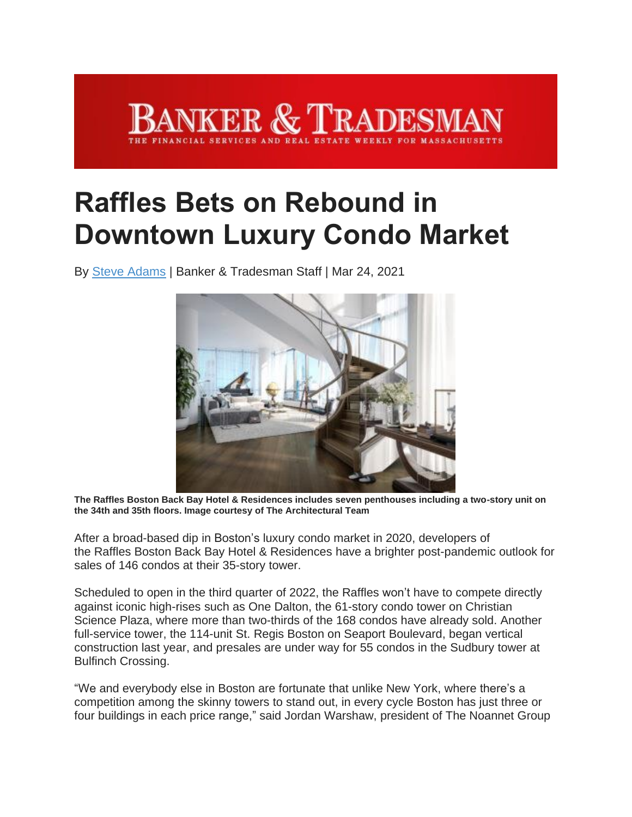## NKER & TRADESN

## **Raffles Bets on Rebound in Downtown Luxury Condo Market**

By Steve [Adams](https://www.bankerandtradesman.com/author/sadams/) | Banker & Tradesman Staff | Mar 24, 2021



**The Raffles Boston Back Bay Hotel & Residences includes seven penthouses including a two-story unit on the 34th and 35th floors. Image courtesy of The Architectural Team**

After a broad-based dip in Boston's luxury condo market in 2020, developers of the Raffles Boston Back Bay Hotel & Residences have a brighter post-pandemic outlook for sales of 146 condos at their 35-story tower.

Scheduled to open in the third quarter of 2022, the Raffles won't have to compete directly against iconic high-rises such as One Dalton, the 61-story condo tower on Christian Science Plaza, where more than two-thirds of the 168 condos have already sold. Another full-service tower, the 114-unit St. Regis Boston on Seaport Boulevard, began vertical construction last year, and presales are under way for 55 condos in the Sudbury tower at Bulfinch Crossing.

"We and everybody else in Boston are fortunate that unlike New York, where there's a competition among the skinny towers to stand out, in every cycle Boston has just three or four buildings in each price range," said Jordan Warshaw, president of The Noannet Group